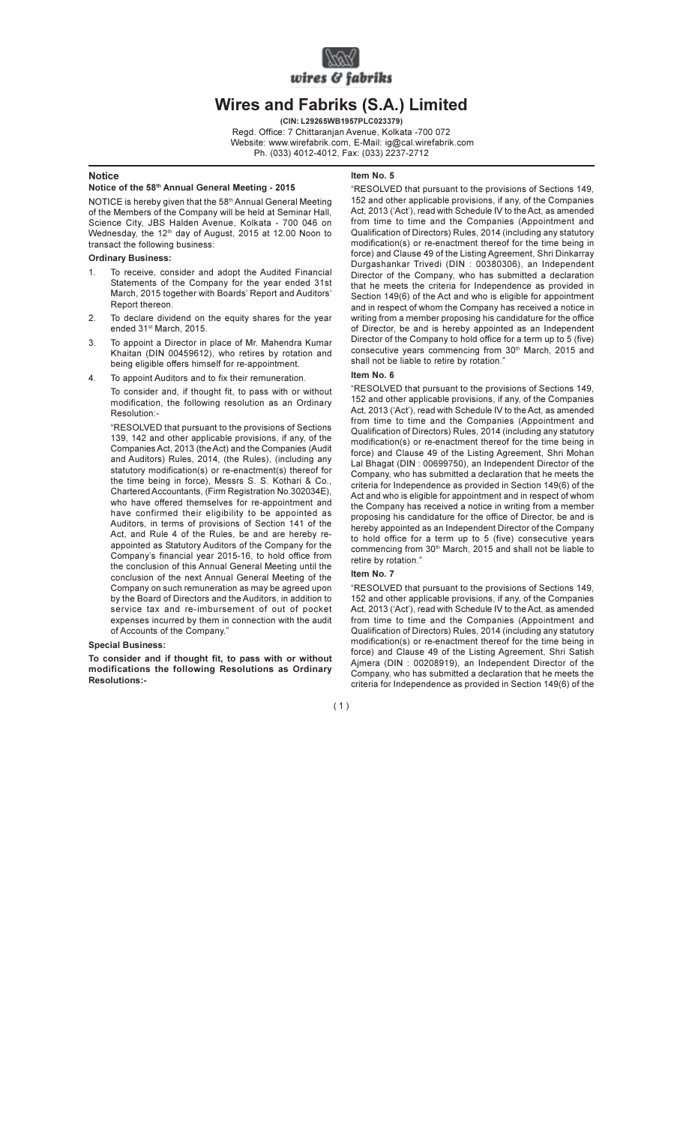

# **Wires and Fabriks (S.A.) Limited**

(CIN: L29265WB1957PLC023379) Read, Office: 7 Chittaranian Avenue, Kolkata -700 072 Website: www.wirefabrik.com. E-Mail: ig@cal.wirefabrik.com Ph. (033) 4012-4012. Fax: (033) 2237-2712

#### **Notice**

#### Notice of the 58th Annual General Meeting - 2015

NOTICE is hereby given that the 58th Annual General Meeting of the Members of the Company will be held at Seminar Hall, Science City, JBS Halden Avenue, Kolkata - 700 046 on Wednesday, the 12<sup>th</sup> day of August, 2015 at 12,00 Noon to transact the following business:

#### **Ordinary Business:**

- $1$ To receive, consider and adopt the Audited Financial Statements of the Company for the year ended 31st March, 2015 together with Boards' Report and Auditors' Report thereon.
- To declare dividend on the equity shares for the year  $\mathcal{P}$ ended 31<sup>st</sup> March, 2015.
- 3. To appoint a Director in place of Mr. Mahendra Kumar Khaitan (DIN 00459612), who retires by rotation and being eligible offers himself for re-appointment.
- $\overline{4}$ To appoint Auditors and to fix their remuneration.

To consider and, if thought fit, to pass with or without modification, the following resolution as an Ordinary Resolution:-

"RESOLVED that pursuant to the provisions of Sections 139, 142 and other applicable provisions, if any, of the Companies Act, 2013 (the Act) and the Companies (Audit and Auditors) Rules, 2014, (the Rules), (including any statutory modification(s) or re-enactment(s) thereof for the time being in force), Messrs S. S. Kothari & Co., Chartered Accountants, (Firm Registration No.302034E), who have offered themselves for re-appointment and have confirmed their eligibility to be appointed as Auditors, in terms of provisions of Section 141 of the Act. and Rule 4 of the Rules, be and are hereby reappointed as Statutory Auditors of the Company for the Company's financial year 2015-16, to hold office from the conclusion of this Annual General Meeting until the conclusion of the next Annual General Meeting of the Company on such remuneration as may be agreed upon by the Board of Directors and the Auditors, in addition to service tax and re-imbursement of out of pocket expenses incurred by them in connection with the audit of Accounts of the Company."

### **Special Business:**

To consider and if thought fit, to pass with or without modifications the following Resolutions as Ordinary **Resolutions:-**

## Item  $No<sub>5</sub>$

"RESOLVED that pursuant to the provisions of Sections 149, 152 and other applicable provisions, if any, of the Companies Act, 2013 ('Act'), read with Schedule IV to the Act, as amended from time to time and the Companies (Appointment and Qualification of Directors) Rules, 2014 (including any statutory modification(s) or re-enactment thereof for the time being in force) and Clause 49 of the Listing Agreement, Shri Dinkarray Durgashankar Trivedi (DIN: 00380306), an Independent Director of the Company, who has submitted a declaration that he meets the criteria for Independence as provided in Section 149(6) of the Act and who is eligible for appointment and in respect of whom the Company has received a notice in writing from a member proposing his candidature for the office of Director, be and is hereby appointed as an Independent Director of the Company to hold office for a term up to 5 (five) consecutive vears commencing from 30th March. 2015 and shall not be liable to retire by rotation."

## Item No 6

"RESOLVED that pursuant to the provisions of Sections 149. 152 and other applicable provisions, if any, of the Companies Act. 2013 ('Act'), read with Schedule IV to the Act. as amended from time to time and the Companies (Appointment and Qualification of Directors) Rules, 2014 (including any statutory modification(s) or re-enactment thereof for the time being in force) and Clause 49 of the Listing Agreement, Shri Mohan Lal Bhagat (DIN: 00699750), an Independent Director of the Company, who has submitted a declaration that he meets the criteria for Independence as provided in Section 149(6) of the Act and who is eligible for appointment and in respect of whom the Company has received a notice in writing from a member proposing his candidature for the office of Director, be and is hereby appointed as an Independent Director of the Company to hold office for a term up to 5 (five) consecutive vears commencing from 30<sup>th</sup> March, 2015 and shall not be liable to retire by rotation."

## Item No. 7

"RESOLVED that pursuant to the provisions of Sections 149, 152 and other applicable provisions, if any, of the Companies Act, 2013 ('Act'), read with Schedule IV to the Act, as amended from time to time and the Companies (Appointment and Qualification of Directors) Rules, 2014 (including any statutory modification(s) or re-enactment thereof for the time being in force) and Clause 49 of the Listing Agreement. Shri Satish Aimera (DIN: 00208919), an Independent Director of the Company, who has submitted a declaration that he meets the criteria for Independence as provided in Section 149(6) of the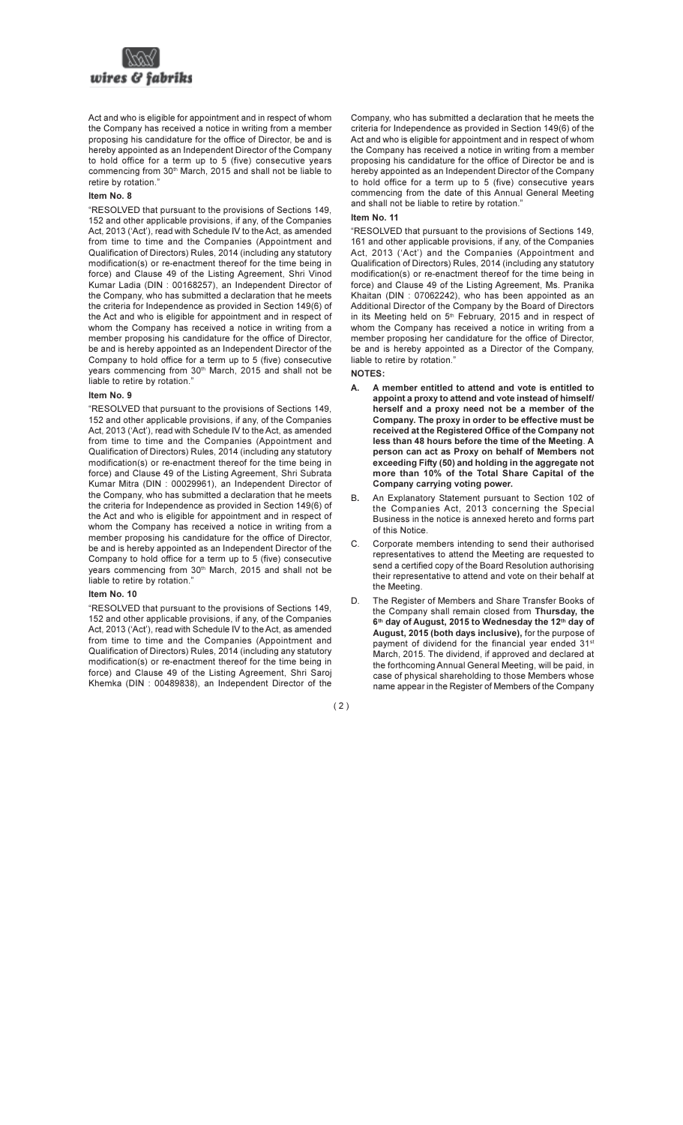

Act and who is eligible for appointment and in respect of whom the Company has received a notice in writing from a member proposing his candidature for the office of Director, be and is hereby appointed as an Independent Director of the Company to hold office for a term up to 5 (five) consecutive years commencing from 30<sup>th</sup> March, 2015 and shall not be liable to retire by rotation."

#### Item No. 8

"RESOLVED that pursuant to the provisions of Sections 149. 152 and other applicable provisions, if any, of the Companies Act. 2013 ('Act'), read with Schedule IV to the Act. as amended from time to time and the Companies (Appointment and Qualification of Directors) Rules, 2014 (including any statutory modification(s) or re-enactment thereof for the time being in force) and Clause 49 of the Listing Agreement. Shri Vinod Kumar Ladia (DIN: 00168257), an Independent Director of the Company, who has submitted a declaration that he meets the criteria for Independence as provided in Section 149(6) of the Act and who is eligible for appointment and in respect of whom the Company has received a notice in writing from a member proposing his candidature for the office of Director. be and is hereby appointed as an Independent Director of the Company to hold office for a term up to 5 (five) consecutive years commencing from 30th March, 2015 and shall not be liable to retire by rotation."

# Item No. 9

"RESOLVED that pursuant to the provisions of Sections 149. 152 and other applicable provisions, if any, of the Companies Act. 2013 ('Act'), read with Schedule IV to the Act. as amended from time to time and the Companies (Appointment and Qualification of Directors) Rules, 2014 (including any statutory modification(s) or re-enactment thereof for the time being in force) and Clause 49 of the Listing Agreement, Shri Subrata Kumar Mitra (DIN: 00029961), an Independent Director of the Company, who has submitted a declaration that he meets the criteria for Independence as provided in Section 149(6) of the Act and who is eligible for appointment and in respect of whom the Company has received a notice in writing from a member proposing his candidature for the office of Director, be and is hereby appointed as an Independent Director of the Company to hold office for a term up to 5 (five) consecutive vears commencing from 30<sup>th</sup> March, 2015 and shall not be liable to retire by rotation."

## Item No. 10

"RESOLVED that pursuant to the provisions of Sections 149. 152 and other applicable provisions, if any, of the Companies Act. 2013 ('Act'), read with Schedule IV to the Act. as amended from time to time and the Companies (Appointment and Qualification of Directors) Rules, 2014 (including any statutory modification(s) or re-enactment thereof for the time being in force) and Clause 49 of the Listing Agreement, Shri Saroj Khemka (DIN: 00489838), an Independent Director of the

Company, who has submitted a declaration that he meets the criteria for Independence as provided in Section 149(6) of the Act and who is eligible for appointment and in respect of whom the Company has received a notice in writing from a member proposing his candidature for the office of Director be and is hereby appointed as an Independent Director of the Company to hold office for a term up to 5 (five) consecutive vears commencing from the date of this Annual General Meeting and shall not be liable to retire by rotation."

## Item No. 11

"RESOLVED that pursuant to the provisions of Sections 149. 161 and other applicable provisions, if any, of the Companies Act. 2013 ('Act') and the Companies (Appointment and Qualification of Directors) Rules, 2014 (including any statutory modification(s) or re-enactment thereof for the time being in force) and Clause 49 of the Listing Agreement, Ms. Pranika Khaitan (DIN: 07062242), who has been appointed as an Additional Director of the Company by the Board of Directors in its Meeting held on 5<sup>th</sup> February, 2015 and in respect of whom the Company has received a notice in writing from a member proposing her candidature for the office of Director. be and is hereby appointed as a Director of the Company. liable to retire by rotation."

# **NOTES:**

- A member entitled to attend and vote is entitled to А. appoint a proxy to attend and vote instead of himself/ herself and a proxy need not be a member of the Company. The proxy in order to be effective must be received at the Registered Office of the Company not less than 48 hours before the time of the Meeting. A person can act as Proxy on behalf of Members not exceeding Fifty (50) and holding in the aggregate not more than 10% of the Total Share Capital of the Company carrying voting power.
- **B.** An Explanatory Statement pursuant to Section 102 of the Companies Act, 2013 concerning the Special Business in the notice is annexed hereto and forms part of this Notice.
- $\mathsf{C}$ Corporate members intending to send their authorised representatives to attend the Meeting are requested to send a certified copy of the Board Resolution authorising their representative to attend and vote on their behalf at the Meeting.
- D. The Register of Members and Share Transfer Books of the Company shall remain closed from Thursday, the 6th day of August, 2015 to Wednesday the 12th day of August, 2015 (both days inclusive), for the purpose of payment of dividend for the financial year ended 31<sup>st</sup> March, 2015. The dividend, if approved and declared at the forthcoming Annual General Meeting, will be paid, in case of physical shareholding to those Members whose name appear in the Register of Members of the Company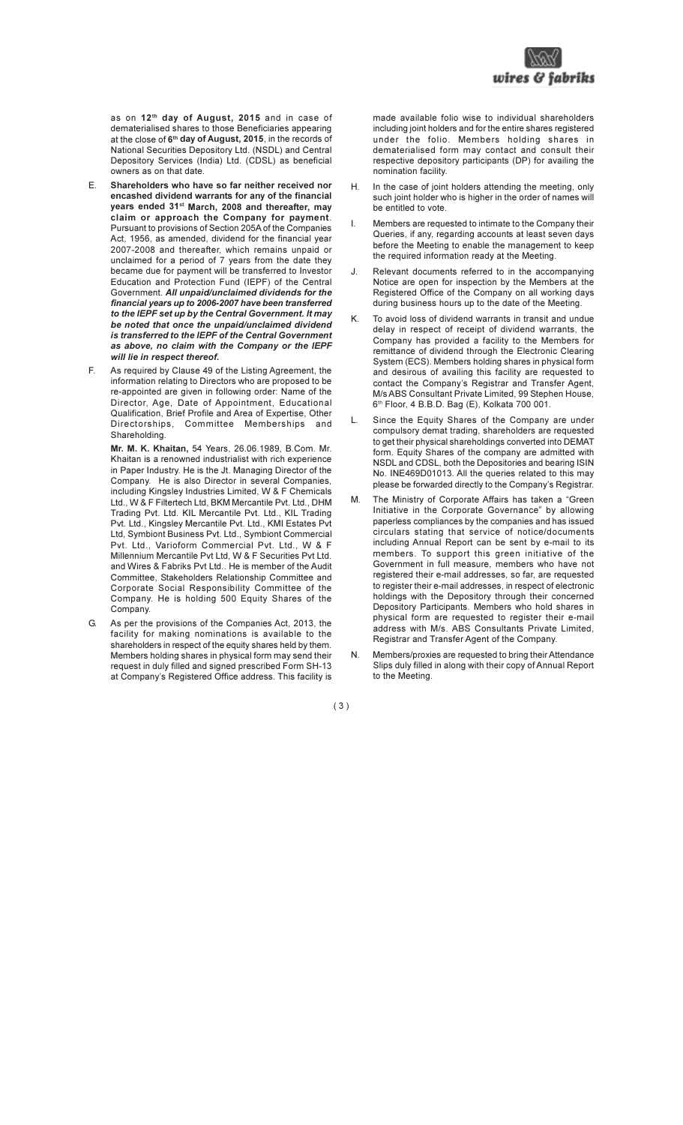

as on 12<sup>th</sup> day of August, 2015 and in case of dematerialised shares to those Beneficiaries appearing at the close of 6<sup>th</sup> day of August, 2015, in the records of National Securities Depository Ltd. (NSDL) and Central Depository Services (India) Ltd. (CDSL) as beneficial owners as on that date.

- F. Shareholders who have so far neither received nor encashed dividend warrants for any of the financial years ended 31<sup>st</sup> March, 2008 and thereafter, may claim or approach the Company for payment. Pursuant to provisions of Section 205A of the Companies Act. 1956, as amended, dividend for the financial vear 2007-2008 and thereafter, which remains unpaid or unclaimed for a period of 7 years from the date they became due for payment will be transferred to Investor Education and Protection Fund (IEPF) of the Central Government. All unpaid/unclaimed dividends for the financial vears up to 2006-2007 have been transferred to the IEPF set up by the Central Government. It may be noted that once the unpaid/unclaimed dividend is transferred to the IEPF of the Central Government as above, no claim with the Company or the IEPF will lie in respect thereof.
- F. As required by Clause 49 of the Listing Agreement, the information relating to Directors who are proposed to be re-appointed are given in following order: Name of the Director, Age, Date of Appointment, Educational Qualification, Brief Profile and Area of Expertise, Other Directorships, Committee Memberships and Shareholding.

Mr. M. K. Khaitan, 54 Years, 26.06.1989, B.Com, Mr. Khaitan is a renowned industrialist with rich experience in Paper Industry. He is the Jt. Managing Director of the Company. He is also Director in several Companies, including Kingsley Industries Limited, W & F Chemicals Ltd., W & F Filtertech Ltd, BKM Mercantile Pvt. Ltd., DHM Trading Pvt. Ltd. KIL Mercantile Pvt. Ltd., KIL Trading Pvt. Ltd., Kingsley Mercantile Pvt. Ltd., KMI Estates Pvt Ltd. Symbiont Business Pvt. Ltd., Symbiont Commercial Pyt. Ltd., Varioform Commercial Pyt. Ltd., W & F Millennium Mercantile Pyt I td W & F Securities Pyt I td and Wires & Fabriks Pyt Ltd., He is member of the Audit Committee. Stakeholders Relationship Committee and Corporate Social Responsibility Committee of the Company. He is holding 500 Equity Shares of the Company.

G. As per the provisions of the Companies Act, 2013, the facility for making nominations is available to the shareholders in respect of the equity shares held by them. Members holding shares in physical form may send their request in duly filled and signed prescribed Form SH-13 at Company's Registered Office address. This facility is

made available folio wise to individual shareholders including joint holders and for the entire shares registered under the folio. Members holding shares in dematerialised form may contact and consult their respective depository participants (DP) for availing the nomination facility.

- H. In the case of joint holders attending the meeting only such joint holder who is higher in the order of names will be entitled to vote
- Members are requested to intimate to the Company their I. Queries, if any, regarding accounts at least seven days before the Meeting to enable the management to keep the required information ready at the Meeting.
- Relevant documents referred to in the accompanying J. Notice are open for inspection by the Members at the Registered Office of the Company on all working days during business hours up to the date of the Meeting.
- K. To avoid loss of dividend warrants in transit and undue delay in respect of receipt of dividend warrants, the Company has provided a facility to the Members for remittance of dividend through the Electronic Clearing System (ECS). Members holding shares in physical form and desirous of availing this facility are requested to contact the Company's Registrar and Transfer Agent. M/s ABS Consultant Private Limited, 99 Stephen House. 6<sup>th</sup> Floor, 4 B.B.D. Bag (E), Kolkata 700 001.
- L. Since the Equity Shares of the Company are under compulsory demat trading, shareholders are requested to get their physical shareholdings converted into DEMAT form. Equity Shares of the company are admitted with NSDL and CDSL, both the Depositories and bearing ISIN No. INE469D01013. All the queries related to this may please be forwarded directly to the Company's Registrar.
- The Ministry of Corporate Affairs has taken a "Green M. Initiative in the Corporate Governance" by allowing paperless compliances by the companies and has issued circulars stating that service of notice/documents including Annual Report can be sent by e-mail to its members. To support this green initiative of the Government in full measure, members who have not registered their e-mail addresses, so far, are requested to register their e-mail addresses, in respect of electronic holdings with the Depository through their concerned Depository Participants. Members who hold shares in physical form are requested to register their e-mail address with M/s. ABS Consultants Private Limited, Registrar and Transfer Agent of the Company.
- Members/proxies are requested to bring their Attendance N. Slips duly filled in along with their copy of Annual Report to the Meeting.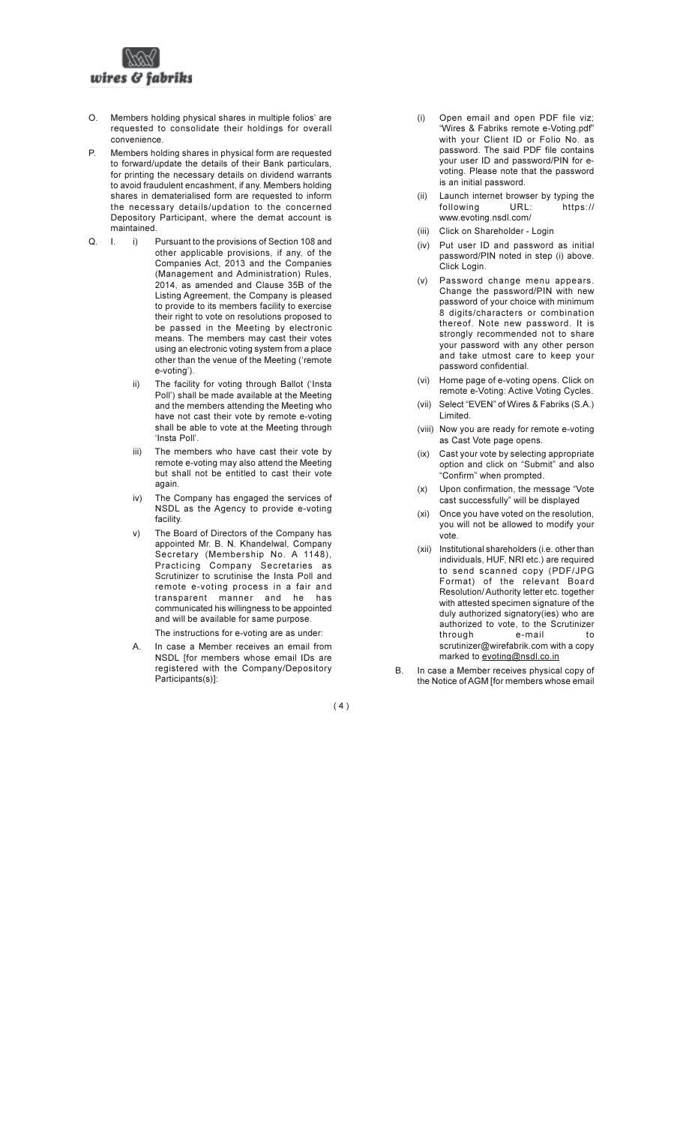

- O. Members holding physical shares in multiple folios' are requested to consolidate their holdings for overall convenience.
- P. Members holding shares in physical form are requested to forward/update the details of their Bank particulars. for printing the necessary details on dividend warrants to avoid fraudulent encashment, if any. Members holding shares in dematerialised form are requested to inform the necessary details/updation to the concerned Depository Participant, where the demat account is maintained.
- $\Omega$  $\mathbf{I}$ i) Pursuant to the provisions of Section 108 and other applicable provisions, if any, of the Companies Act, 2013 and the Companies (Management and Administration) Rules. 2014, as amended and Clause 35B of the Listing Agreement, the Company is pleased to provide to its members facility to exercise their right to vote on resolutions proposed to be passed in the Meeting by electronic means. The members may cast their votes using an electronic voting system from a place other than the venue of the Meeting ('remote e-voting').
	- The facility for voting through Ballot ('Insta  $\overline{ii}$ Poll') shall be made available at the Meeting and the members attending the Meeting who have not cast their vote by remote e-voting shall be able to vote at the Meeting through 'Insta Poll'
	- The members who have cast their vote by iii) remote e-voting may also attend the Meeting but shall not be entitled to cast their vote again.
	- The Company has engaged the services of  $iv)$ NSDL as the Agency to provide e-voting facility.
	- $V)$ The Board of Directors of the Company has appointed Mr. B. N. Khandelwal, Company Secretary (Membership No. A 1148), Practicing Company Secretaries as Scrutinizer to scrutinise the Insta Poll and remote e-voting process in a fair and transparent manner and he has communicated his willingness to be appointed and will be available for same purpose.

The instructions for e-voting are as under:

In case a Member receives an email from  $A_{1}$ NSDL [for members whose email IDs are registered with the Company/Depository Participants(s)]:

- Open email and open PDF file viz:  $(i)$ "Wires & Fabriks remote e-Voting.pdf" with your Client ID or Folio No. as password. The said PDF file contains your user ID and password/PIN for evoting. Please note that the password is an initial password.
- Launch internet browser by typing the  $(iii)$ following URL: https:// www.evoting.nsdl.com/
- (iii) Click on Shareholder Login
- (iv) Put user ID and password as initial password/PIN noted in step (i) above. Click Login.
- (v) Password change menu appears. Change the password/PIN with new password of your choice with minimum 8 digits/characters or combination thereof. Note new password. It is strongly recommended not to share your password with any other person and take utmost care to keep your password confidential.
- (vi) Home page of e-voting opens. Click on remote e-Voting: Active Voting Cycles.
- (vii) Select "EVEN" of Wires & Fabriks (S.A.) Limited.
- (viii) Now you are ready for remote e-voting as Cast Vote page opens.
- (ix) Cast your vote by selecting appropriate option and click on "Submit" and also "Confirm" when prompted.
- Upon confirmation, the message "Vote  $(x)$ cast successfully" will be displayed
- (xi) Once you have voted on the resolution, you will not be allowed to modify your vote
- (xii) Institutional shareholders (i.e. other than individuals, HUF, NRI etc.) are required to send scanned copy (PDF/JPG Format) of the relevant Board Resolution/Authority letter etc. together with attested specimen signature of the duly authorized signatory(ies) who are authorized to vote, to the Scrutinizer e-mail through  $\overline{10}$ scrutinizer@wirefabrik.com with a copy marked to evoting@nsdl.co.in
- In case a Member receives physical copy of <sub>R</sub> the Notice of AGM [for members whose email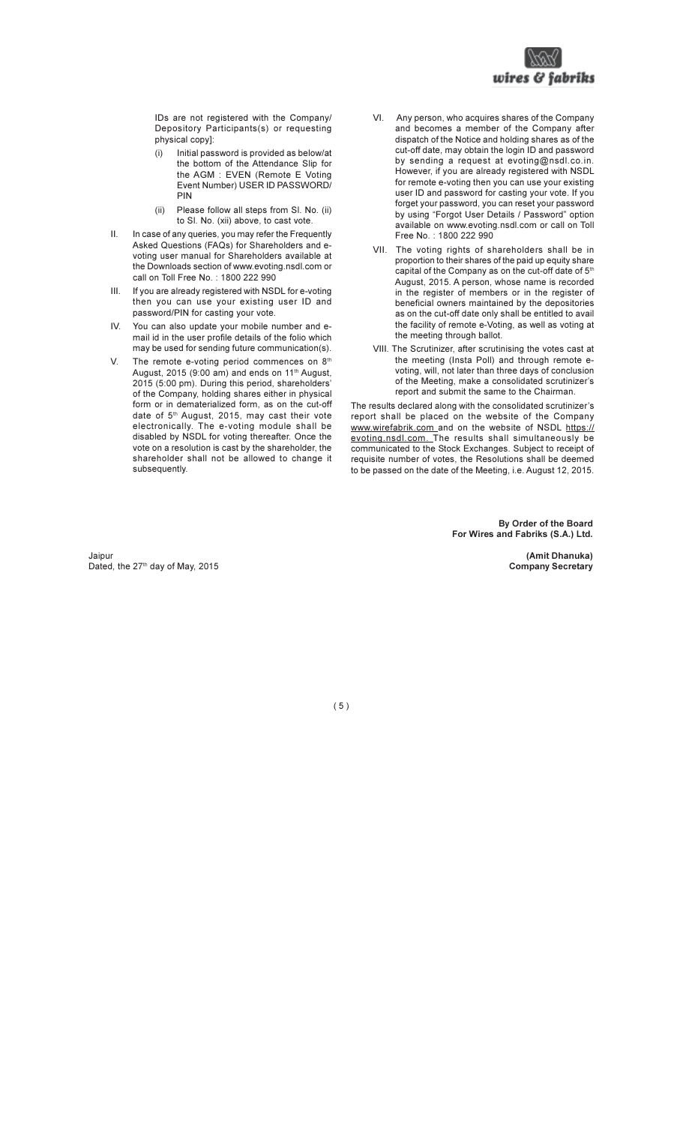

IDs are not registered with the Company/ Depository Participants(s) or requesting physical copy]:

- Initial password is provided as below/at  $(i)$ the bottom of the Attendance Slip for the AGM : EVEN (Remote E Voting Event Number) USER ID PASSWORD/ **PIN**
- $(ii)$ Please follow all steps from SI. No. (ii) to Sl. No. (xii) above, to cast vote.
- In case of any queries, you may refer the Frequently  $\mathbf{H}$ Asked Questions (FAQs) for Shareholders and evoting user manual for Shareholders available at the Downloads section of www.evoting.nsdl.com or call on Toll Free No.: 1800 222 990
- **III** If you are already registered with NSDL for e-voting then you can use your existing user ID and password/PIN for casting your vote.
- You can also update your mobile number and e-IV. mail id in the user profile details of the folio which may be used for sending future communication(s).
- V. The remote e-voting period commences on 8th August, 2015 (9:00 am) and ends on 11<sup>th</sup> August, 2015 (5:00 pm). During this period, shareholders' of the Company, holding shares either in physical form or in dematerialized form, as on the cut-off date of 5<sup>th</sup> August, 2015, may cast their vote electronically. The e-voting module shall be disabled by NSDL for voting thereafter. Once the vote on a resolution is cast by the shareholder, the shareholder shall not be allowed to change it subsequently.
- $VI$ Any person, who acquires shares of the Company and becomes a member of the Company after dispatch of the Notice and holding shares as of the cut-off date, may obtain the login ID and password by sending a request at evoting@nsdl.co.in. However, if you are already registered with NSDL for remote e-voting then you can use your existing user ID and password for casting your vote. If you forget your password, you can reset your password by using "Forgot User Details / Password" option available on www.evoting.nsdl.com or call on Toll Free No.: 1800 222 990
- VII. The voting rights of shareholders shall be in proportion to their shares of the paid up equity share capital of the Company as on the cut-off date of 5<sup>th</sup> August, 2015. A person, whose name is recorded in the register of members or in the register of beneficial owners maintained by the depositories as on the cut-off date only shall be entitled to avail the facility of remote e-Voting, as well as voting at the meeting through ballot.
- VIII. The Scrutinizer, after scrutinising the votes cast at the meeting (Insta Poll) and through remote evoting, will, not later than three days of conclusion of the Meeting, make a consolidated scrutinizer's report and submit the same to the Chairman.

The results declared along with the consolidated scrutinizer's report shall be placed on the website of the Company www.wirefabrik.com and on the website of NSDL https:// evoting.nsdl.com. The results shall simultaneously be communicated to the Stock Exchanges. Subject to receipt of requisite number of votes, the Resolutions shall be deemed to be passed on the date of the Meeting, i.e. August 12, 2015.

> By Order of the Board For Wires and Fabriks (S.A.) Ltd.

> > (Amit Dhanuka) **Company Secretary**

Jaipur Dated, the 27<sup>th</sup> day of May, 2015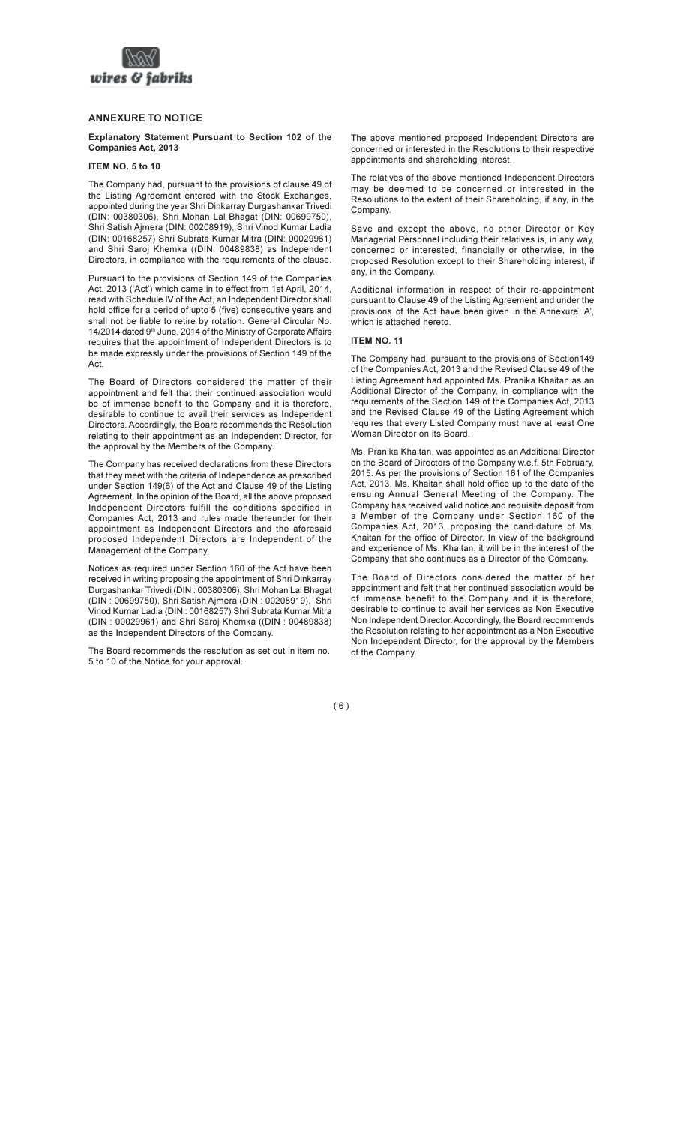

## **ANNEXURE TO NOTICE**

### Explanatory Statement Pursuant to Section 102 of the **Companies Act. 2013**

### ITEM NO. 5 to 10

The Company had, pursuant to the provisions of clause 49 of the Listing Agreement entered with the Stock Exchanges. appointed during the year Shri Dinkarray Durgashankar Trivedi (DIN: 00380306). Shri Mohan Lal Bhagat (DIN: 00699750). Shri Satish Aimera (DIN: 00208919), Shri Vinod Kumar Ladia (DIN: 00168257) Shri Subrata Kumar Mitra (DIN: 00029961) and Shri Saroj Khemka ((DIN: 00489838) as Independent Directors, in compliance with the requirements of the clause.

Pursuant to the provisions of Section 149 of the Companies Act. 2013 ('Act') which came in to effect from 1st April. 2014. read with Schedule IV of the Act, an Independent Director shall hold office for a period of upto 5 (five) consecutive vears and shall not be liable to retire by rotation. General Circular No. 14/2014 dated 9th June, 2014 of the Ministry of Corporate Affairs requires that the appointment of Independent Directors is to be made expressly under the provisions of Section 149 of the Act

The Board of Directors considered the matter of their appointment and felt that their continued association would be of immense benefit to the Company and it is therefore. desirable to continue to avail their services as Independent Directors, Accordingly, the Board recommends the Resolution relating to their appointment as an Independent Director, for the approval by the Members of the Company.

The Company has received declarations from these Directors that they meet with the criteria of Independence as prescribed under Section 149(6) of the Act and Clause 49 of the Listing Agreement. In the opinion of the Board, all the above proposed Independent Directors fulfill the conditions specified in Companies Act 2013 and rules made thereunder for their appointment as Independent Directors and the aforesaid proposed Independent Directors are Independent of the Management of the Company.

Notices as required under Section 160 of the Act have been received in writing proposing the appointment of Shri Dinkarray Durgashankar Trivedi (DIN: 00380306), Shri Mohan Lal Bhagat (DIN: 00699750). Shri Satish Aimera (DIN: 00208919). Shri Vinod Kumar Ladia (DIN: 00168257) Shri Subrata Kumar Mitra (DIN: 00029961) and Shri Saroi Khemka ((DIN: 00489838) as the Independent Directors of the Company.

The Board recommends the resolution as set out in item no. 5 to 10 of the Notice for your approval.

The above mentioned proposed Independent Directors are concerned or interested in the Resolutions to their respective appointments and shareholding interest.

The relatives of the above mentioned Independent Directors may be deemed to be concerned or interested in the Resolutions to the extent of their Shareholding, if any, in the Company.

Save and except the above, no other Director or Key Managerial Personnel including their relatives is, in any way, concerned or interested, financially or otherwise, in the proposed Resolution except to their Shareholding interest, if any, in the Company.

Additional information in respect of their re-appointment pursuant to Clause 49 of the Listing Agreement and under the provisions of the Act have been given in the Annexure 'A'. which is attached hereto

#### **ITEM NO. 11**

The Company had, pursuant to the provisions of Section149 of the Companies Act. 2013 and the Revised Clause 49 of the Listing Agreement had appointed Ms. Pranika Khaitan as an Additional Director of the Company, in compliance with the requirements of the Section 149 of the Companies Act. 2013 and the Revised Clause 49 of the Listing Agreement which requires that every Listed Company must have at least One Woman Director on its Board

Ms. Pranika Khaitan, was appointed as an Additional Director on the Board of Directors of the Company w.e.f. 5th February. 2015. As per the provisions of Section 161 of the Companies Act. 2013. Ms. Khaitan shall hold office up to the date of the ensuing Annual General Meeting of the Company. The Company has received valid notice and requisite deposit from a Member of the Company under Section 160 of the Companies Act. 2013, proposing the candidature of Ms. Khaitan for the office of Director. In view of the background and experience of Ms. Khaitan, it will be in the interest of the Company that she continues as a Director of the Company.

The Board of Directors considered the matter of her appointment and felt that her continued association would be of immense benefit to the Company and it is therefore. desirable to continue to avail her services as Non Executive Non Independent Director. Accordingly, the Board recommends the Resolution relating to her appointment as a Non Executive Non Independent Director, for the approval by the Members of the Company.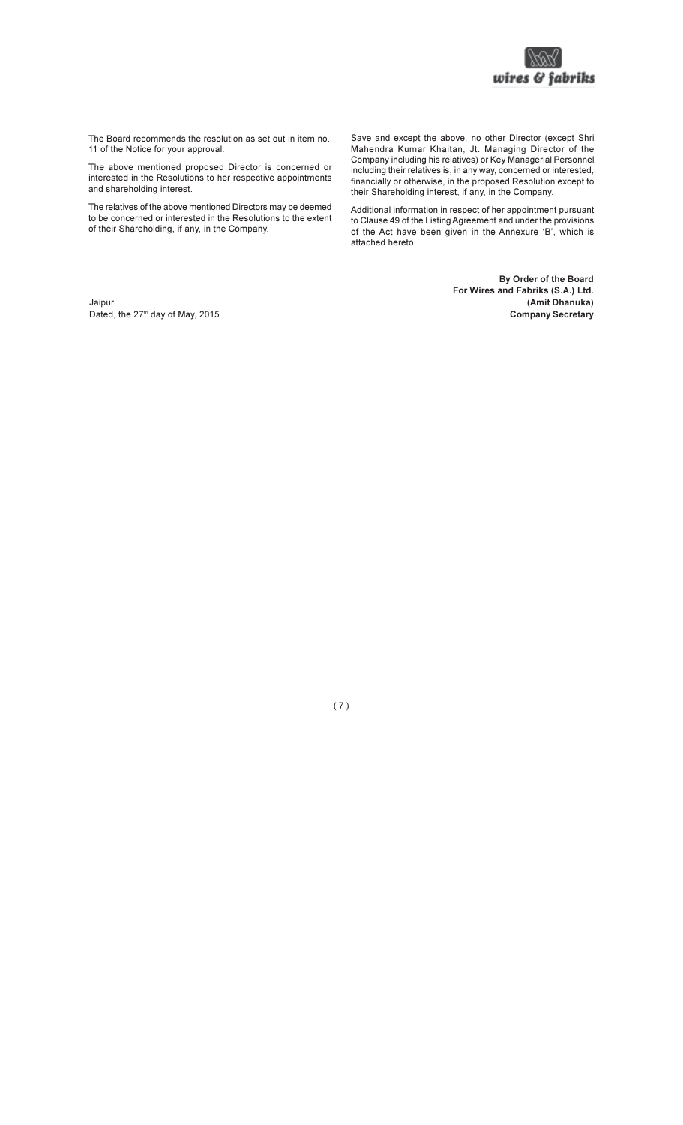

The Board recommends the resolution as set out in item no. 11 of the Notice for your approval.

The above mentioned proposed Director is concerned or interested in the Resolutions to her respective appointments and shareholding interest.

The relatives of the above mentioned Directors may be deemed to be concerned or interested in the Resolutions to the extent of their Shareholding, if any, in the Company.

Save and except the above, no other Director (except Shri Mahendra Kumar Khaitan, Jt. Managing Director of the Company including his relatives) or Key Managerial Personnel including their relatives is, in any way, concerned or interested, financially or otherwise, in the proposed Resolution except to their Shareholding interest, if any, in the Company.

Additional information in respect of her appointment pursuant to Clause 49 of the Listing Agreement and under the provisions of the Act have been given in the Annexure 'B', which is attached hereto.

> By Order of the Board For Wires and Fabriks (S.A.) Ltd. (Amit Dhanuka) **Company Secretary**

Jaipur Dated, the 27<sup>th</sup> day of May, 2015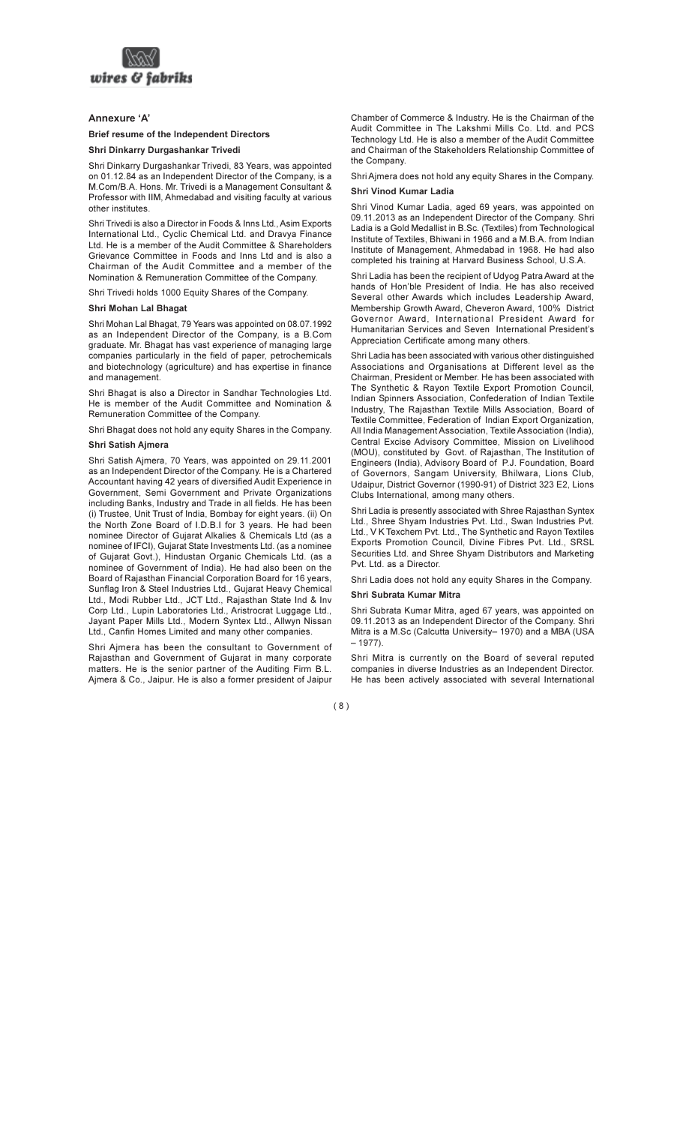

# Annexure 'A'

#### **Brief resume of the Independent Directors**

### Shri Dinkarry Durgashankar Trivedi

Shri Dinkarry Durgashankar Trivedi, 83 Years, was appointed on 01.12.84 as an Independent Director of the Company, is a M.Com/B.A. Hons. Mr. Trivedi is a Management Consultant & Professor with IIM, Ahmedabad and visiting faculty at various other institutes

Shri Trivedi is also a Director in Foods & Inns Ltd., Asim Exports International Ltd., Cyclic Chemical Ltd. and Dravya Finance Ltd. He is a member of the Audit Committee & Shareholders Grievance Committee in Foods and Inns Ltd and is also a Chairman of the Audit Committee and a member of the Nomination & Remuneration Committee of the Company.

Shri Trivedi holds 1000 Equity Shares of the Company.

### Shri Mohan Lal Bhagat

Shri Mohan Lal Bhagat, 79 Years was appointed on 08.07.1992 as an Independent Director of the Company, is a B.Com graduate. Mr. Bhagat has vast experience of managing large companies particularly in the field of paper, petrochemicals and biotechnology (agriculture) and has expertise in finance and management.

Shri Bhagat is also a Director in Sandhar Technologies Ltd. He is member of the Audit Committee and Nomination & Remuneration Committee of the Company.

Shri Bhagat does not hold any equity Shares in the Company.

#### Shri Satish Ajmera

Shri Satish Ajmera, 70 Years, was appointed on 29.11.2001 as an Independent Director of the Company. He is a Chartered Accountant having 42 years of diversified Audit Experience in Government, Semi Government and Private Organizations including Banks, Industry and Trade in all fields. He has been (i) Trustee, Unit Trust of India, Bombay for eight years. (ii) On the North Zone Board of I.D.B.I for 3 years. He had been nominee Director of Gujarat Alkalies & Chemicals Ltd (as a nominee of IFCI), Gujarat State Investments Ltd. (as a nominee of Gujarat Govt.), Hindustan Organic Chemicals Ltd. (as a nominee of Government of India). He had also been on the Board of Rajasthan Financial Corporation Board for 16 years, Sunflag Iron & Steel Industries Ltd., Gujarat Heavy Chemical Ltd., Modi Rubber Ltd., JCT Ltd., Rajasthan State Ind & Inv Corp Ltd., Lupin Laboratories Ltd., Aristrocrat Luggage Ltd., Jayant Paper Mills Ltd., Modern Syntex Ltd., Allwyn Nissan Ltd., Canfin Homes Limited and many other companies.

Shri Ajmera has been the consultant to Government of Rajasthan and Government of Gujarat in many corporate matters. He is the senior partner of the Auditing Firm B.L. Ajmera & Co., Jaipur. He is also a former president of Jaipur Chamber of Commerce & Industry. He is the Chairman of the Audit Committee in The Lakshmi Mills Co. Ltd. and PCS Technology Ltd. He is also a member of the Audit Committee and Chairman of the Stakeholders Relationship Committee of the Company.

Shri Ajmera does not hold any equity Shares in the Company.

#### Shri Vinod Kumar Ladia

Shri Vinod Kumar Ladia, aged 69 years, was appointed on 09.11.2013 as an Independent Director of the Company. Shri Ladia is a Gold Medallist in B.Sc. (Textiles) from Technological Institute of Textiles. Bhiwani in 1966 and a M.B.A. from Indian Institute of Management, Ahmedabad in 1968. He had also completed his training at Harvard Business School, U.S.A.

Shri Ladia has been the recipient of Udyog Patra Award at the hands of Hon'ble President of India. He has also received Several other Awards which includes Leadership Award. Membership Growth Award, Cheveron Award, 100% District Governor Award, International President Award for Humanitarian Services and Seven International President's Appreciation Certificate among many others.

Shri Ladia has been associated with various other distinguished Associations and Organisations at Different level as the Chairman. President or Member. He has been associated with The Synthetic & Rayon Textile Export Promotion Council, Indian Spinners Association. Confederation of Indian Textile Industry, The Rajasthan Textile Mills Association, Board of Textile Committee, Federation of Indian Export Organization, All India Management Association, Textile Association (India). Central Excise Advisory Committee. Mission on Livelihood (MOU), constituted by Govt. of Rajasthan, The Institution of Engineers (India), Advisory Board of P.J. Foundation, Board of Governors, Sangam University, Bhilwara, Lions Club, Udaipur, District Governor (1990-91) of District 323 E2, Lions Clubs International, among many others.

Shri Ladia is presently associated with Shree Raiasthan Syntex Ltd., Shree Shyam Industries Pvt. Ltd., Swan Industries Pvt. Ltd., V K Texchem Pvt. Ltd., The Synthetic and Rayon Textiles Exports Promotion Council, Divine Fibres Pvt. Ltd., SRSL Securities Ltd. and Shree Shyam Distributors and Marketing Pvt. Ltd. as a Director.

Shri Ladia does not hold any equity Shares in the Company.

#### Shri Subrata Kumar Mitra

Shri Subrata Kumar Mitra, aged 67 years, was appointed on 09.11.2013 as an Independent Director of the Company. Shri Mitra is a M.Sc (Calcutta University-1970) and a MBA (USA  $-1977$ ).

Shri Mitra is currently on the Board of several reputed companies in diverse Industries as an Independent Director. He has been actively associated with several International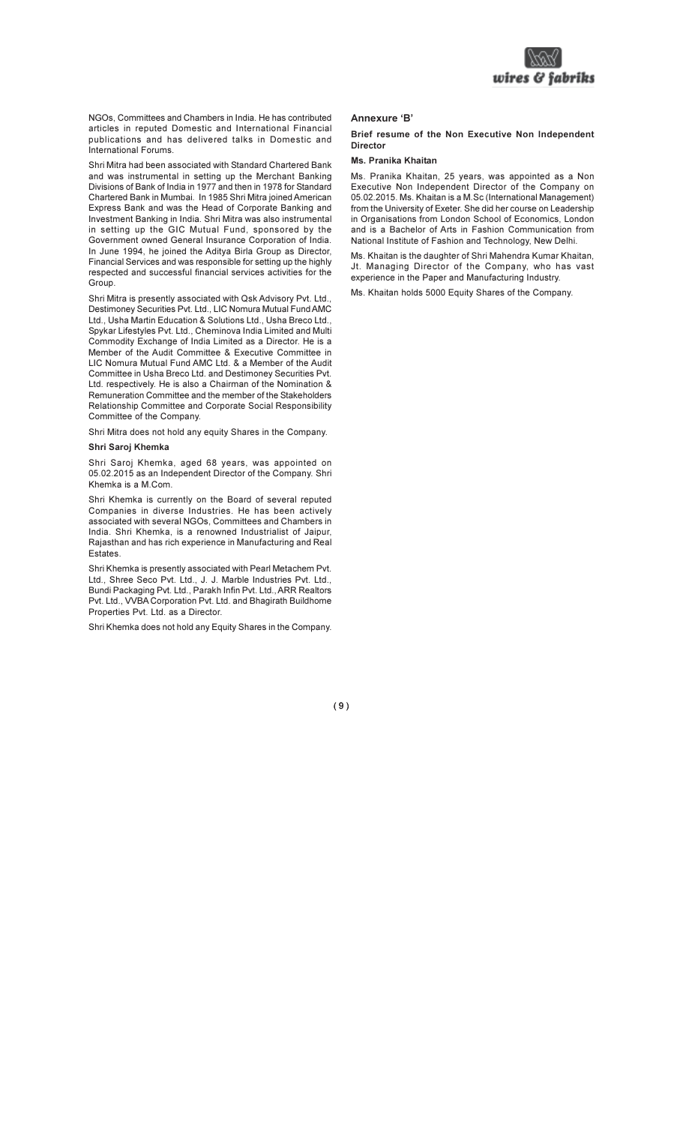

NGOs. Committees and Chambers in India. He has contributed articles in reputed Domestic and International Financial publications and has delivered talks in Domestic and .<br>International Forums

Shri Mitra had been associated with Standard Chartered Bank and was instrumental in setting up the Merchant Banking Divisions of Bank of India in 1977 and then in 1978 for Standard Chartered Bank in Mumbai. In 1985 Shri Mitra joined American Express Bank and was the Head of Corporate Banking and Investment Banking in India. Shri Mitra was also instrumental in setting up the GIC Mutual Fund, sponsored by the Government owned General Insurance Corporation of India. In June 1994, he joined the Aditya Birla Group as Director, Financial Services and was responsible for setting up the highly respected and successful financial services activities for the Group.

Shri Mitra is presently associated with Qsk Advisory Pvt. Ltd., Destimoney Securities Pvt. Ltd., LIC Nomura Mutual Fund AMC Ltd., Usha Martin Education & Solutions Ltd., Usha Breco Ltd., Spykar Lifestyles Pyt. Ltd., Cheminova India Limited and Multi Commodity Exchange of India Limited as a Director. He is a Member of the Audit Committee & Executive Committee in LIC Nomura Mutual Fund AMC Ltd. & a Member of the Audit Committee in Usha Breco Ltd. and Destimoney Securities Pvt. Ltd. respectively. He is also a Chairman of the Nomination & Remuneration Committee and the member of the Stakeholders Relationship Committee and Corporate Social Responsibility Committee of the Company.

Shri Mitra does not hold any equity Shares in the Company.

#### Shri Saroi Khemka

Shri Saroj Khemka, aged 68 years, was appointed on 05.02.2015 as an Independent Director of the Company. Shri Khemka is a M.Com.

Shri Khemka is currently on the Board of several reputed Companies in diverse Industries. He has been actively associated with several NGOs, Committees and Chambers in India. Shri Khemka, is a renowned Industrialist of Jaipur, Raiasthan and has rich experience in Manufacturing and Real Estates.

Shri Khemka is presently associated with Pearl Metachem Pvt. Ltd., Shree Seco Pvt. Ltd., J. J. Marble Industries Pvt. Ltd., Bundi Packaging Pyt. Ltd., Parakh Infin Pyt. Ltd., ARR Realtors Pvt. Ltd., VVBA Corporation Pvt. Ltd. and Bhagirath Buildhome Properties Pvt. Ltd. as a Director.

Shri Khemka does not hold any Equity Shares in the Company.

#### Annexure 'B'

#### Brief resume of the Non Executive Non Independent **Director**

#### Ms. Pranika Khaitan

Ms. Pranika Khaitan, 25 years, was appointed as a Non Executive Non Independent Director of the Company on 05.02.2015. Ms. Khaitan is a M.Sc (International Management) from the University of Exeter. She did her course on Leadership in Organisations from London School of Economics, London and is a Bachelor of Arts in Fashion Communication from National Institute of Fashion and Technology, New Delhi.

Ms. Khaitan is the daughter of Shri Mahendra Kumar Khaitan, Jt. Managing Director of the Company, who has vast experience in the Paper and Manufacturing Industry.

Ms. Khaitan holds 5000 Equity Shares of the Company.